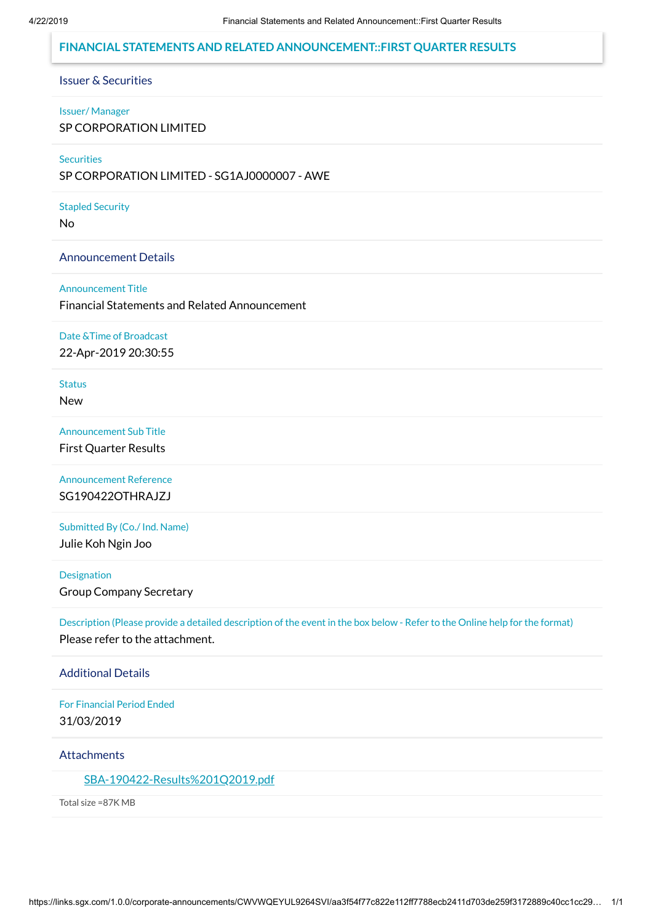## **FINANCIAL STATEMENTS AND RELATED ANNOUNCEMENT::FIRST QUARTER RESULTS**

### Issuer & Securities

#### Issuer/ Manager

SP CORPORATION LIMITED

#### **Securities**

SP CORPORATION LIMITED - SG1AJ0000007 - AWE

#### Stapled Security

No

### Announcement Details

### Announcement Title

Financial Statements and Related Announcement

## Date &Time of Broadcast

22-Apr-2019 20:30:55

### **Status**

New

### Announcement Sub Title

First Quarter Results

# Announcement Reference SG190422OTHRAJZJ

### Submitted By (Co./ Ind. Name)

Julie Koh Ngin Joo

## Designation

Group Company Secretary

Description (Please provide a detailed description of the event in the box below - Refer to the Online help for the format) Please refer to the attachment.

### Additional Details

For Financial Period Ended 31/03/2019

#### **Attachments**

### [SBA-190422-Results%201Q2019.pdf](https://links.sgx.com/1.0.0/corporate-announcements/CWVWQEYUL9264SVI/SBA-190422-Results%201Q2019.pdf)

Total size =87K MB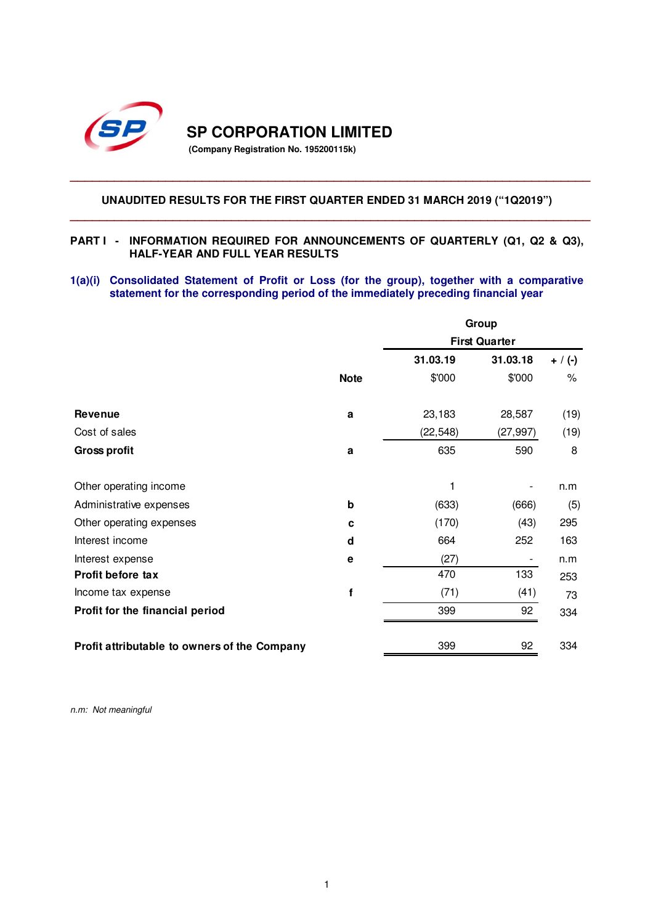

**SP CORPORATION LIMITED** 

**(Company Registration No. 195200115k)** 

# **UNAUDITED RESULTS FOR THE FIRST QUARTER ENDED 31 MARCH 2019 ("1Q2019") \_\_\_\_\_\_\_\_\_\_\_\_\_\_\_\_\_\_\_\_\_\_\_\_\_\_\_\_\_\_\_\_\_\_\_\_\_\_\_\_\_\_\_\_\_\_\_\_\_\_\_\_\_\_\_\_\_\_\_\_\_\_\_\_\_\_\_\_\_\_\_**

**\_\_\_\_\_\_\_\_\_\_\_\_\_\_\_\_\_\_\_\_\_\_\_\_\_\_\_\_\_\_\_\_\_\_\_\_\_\_\_\_\_\_\_\_\_\_\_\_\_\_\_\_\_\_\_\_\_\_\_\_\_\_\_\_\_\_\_\_\_\_\_**

### **PART I - INFORMATION REQUIRED FOR ANNOUNCEMENTS OF QUARTERLY (Q1, Q2 & Q3), HALF-YEAR AND FULL YEAR RESULTS**

**1(a)(i) Consolidated Statement of Profit or Loss (for the group), together with a comparative statement for the corresponding period of the immediately preceding financial year** 

|                                              |             | Group     |                      |           |  |
|----------------------------------------------|-------------|-----------|----------------------|-----------|--|
|                                              |             |           | <b>First Quarter</b> |           |  |
|                                              |             | 31.03.19  | 31.03.18             | $+ / (-)$ |  |
|                                              | <b>Note</b> | \$'000    | \$'000               | $\%$      |  |
| <b>Revenue</b>                               | a           | 23,183    | 28,587               | (19)      |  |
| Cost of sales                                |             | (22, 548) | (27, 997)            | (19)      |  |
| <b>Gross profit</b>                          | a           | 635       | 590                  | 8         |  |
| Other operating income                       |             | 1         |                      | n.m       |  |
| Administrative expenses                      | b           | (633)     | (666)                | (5)       |  |
| Other operating expenses                     | C           | (170)     | (43)                 | 295       |  |
| Interest income                              | d           | 664       | 252                  | 163       |  |
| Interest expense                             | е           | (27)      |                      | n.m       |  |
| Profit before tax                            |             | 470       | 133                  | 253       |  |
| Income tax expense                           | f           | (71)      | (41)                 | 73        |  |
| Profit for the financial period              |             | 399       | 92                   | 334       |  |
| Profit attributable to owners of the Company |             | 399       | 92                   | 334       |  |

*n.m: Not meaningful*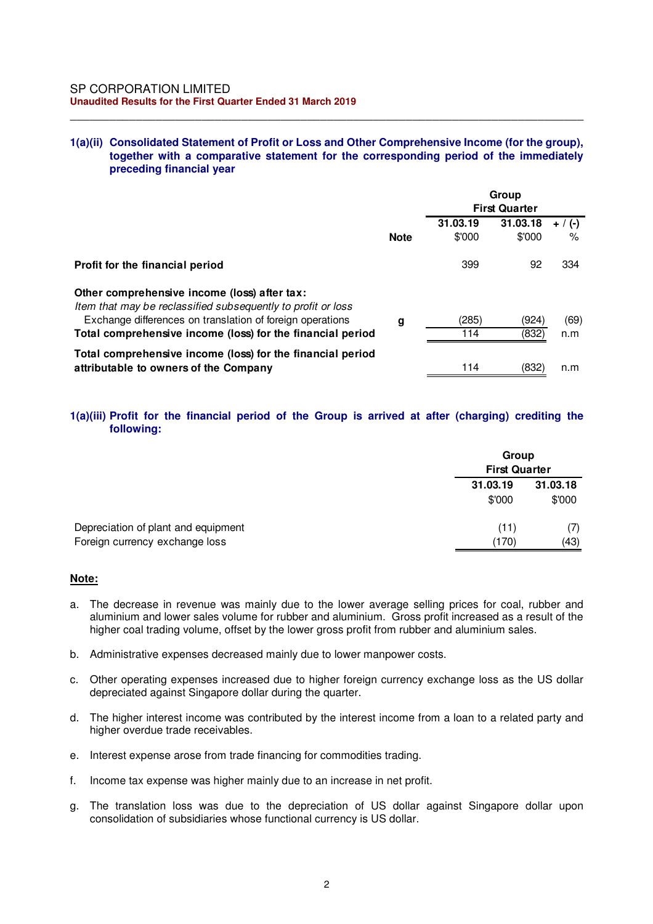### **1(a)(ii) Consolidated Statement of Profit or Loss and Other Comprehensive Income (for the group), together with a comparative statement for the corresponding period of the immediately preceding financial year**

\_\_\_\_\_\_\_\_\_\_\_\_\_\_\_\_\_\_\_\_\_\_\_\_\_\_\_\_\_\_\_\_\_\_\_\_\_\_\_\_\_\_\_\_\_\_\_\_\_\_\_\_\_\_\_\_\_\_\_\_\_\_\_\_\_\_\_\_\_\_\_\_\_\_\_\_\_\_

|                                                                                                              |             | Group<br><b>First Quarter</b> |                    |                |
|--------------------------------------------------------------------------------------------------------------|-------------|-------------------------------|--------------------|----------------|
|                                                                                                              | <b>Note</b> | 31.03.19<br>\$'000            | 31.03.18<br>\$'000 | $+$ / (-)<br>% |
| Profit for the financial period                                                                              |             | 399                           | 92                 | 334            |
| Other comprehensive income (loss) after tax:<br>Item that may be reclassified subsequently to profit or loss |             |                               |                    |                |
| Exchange differences on translation of foreign operations                                                    | g           | (285)                         | (924)              | (69)           |
| Total comprehensive income (loss) for the financial period                                                   |             | 114                           | (832)              | n.m            |
| Total comprehensive income (loss) for the financial period<br>attributable to owners of the Company          |             | 114                           | (832)              | n.m            |

## **1(a)(iii) Profit for the financial period of the Group is arrived at after (charging) crediting the following:**

|                                     |                    | Group<br><b>First Quarter</b> |  |  |
|-------------------------------------|--------------------|-------------------------------|--|--|
|                                     | 31.03.19<br>\$'000 | 31.03.18<br>\$'000            |  |  |
| Depreciation of plant and equipment | (11)               | (7)<br>(43)                   |  |  |
| Foreign currency exchange loss      | (170)              |                               |  |  |

### **Note:**

- a. The decrease in revenue was mainly due to the lower average selling prices for coal, rubber and aluminium and lower sales volume for rubber and aluminium. Gross profit increased as a result of the higher coal trading volume, offset by the lower gross profit from rubber and aluminium sales.
- b. Administrative expenses decreased mainly due to lower manpower costs.
- c. Other operating expenses increased due to higher foreign currency exchange loss as the US dollar depreciated against Singapore dollar during the quarter.
- d. The higher interest income was contributed by the interest income from a loan to a related party and higher overdue trade receivables.
- e. Interest expense arose from trade financing for commodities trading.
- f. Income tax expense was higher mainly due to an increase in net profit.
- g. The translation loss was due to the depreciation of US dollar against Singapore dollar upon consolidation of subsidiaries whose functional currency is US dollar.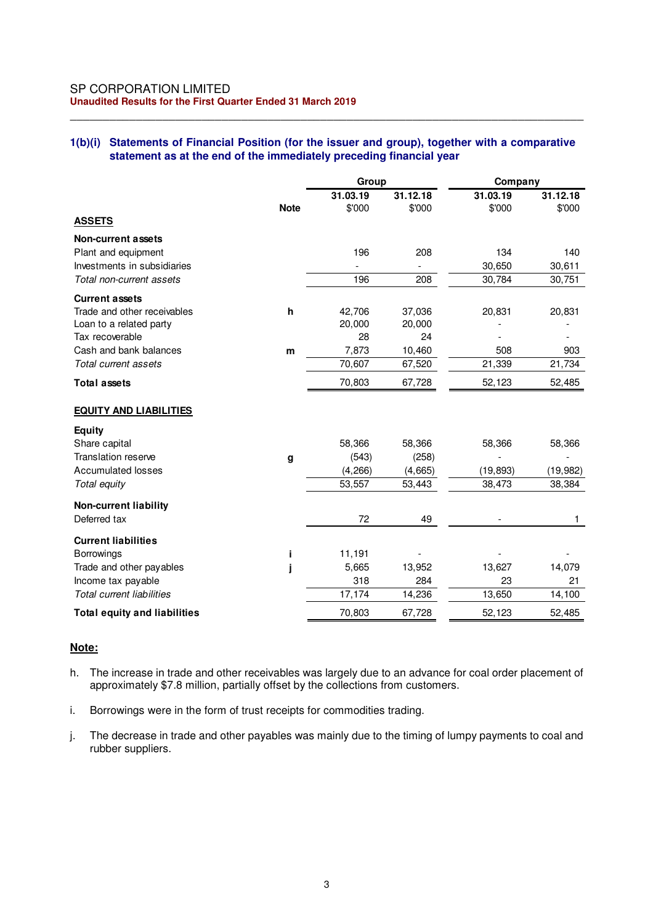### SP CORPORATION LIMITED **Unaudited Results for the First Quarter Ended 31 March 2019**

### **1(b)(i) Statements of Financial Position (for the issuer and group), together with a comparative statement as at the end of the immediately preceding financial year**

\_\_\_\_\_\_\_\_\_\_\_\_\_\_\_\_\_\_\_\_\_\_\_\_\_\_\_\_\_\_\_\_\_\_\_\_\_\_\_\_\_\_\_\_\_\_\_\_\_\_\_\_\_\_\_\_\_\_\_\_\_\_\_\_\_\_\_\_\_\_\_\_\_\_\_\_\_\_

|                                     |              | Group    |          | Company   |           |
|-------------------------------------|--------------|----------|----------|-----------|-----------|
|                                     |              | 31.03.19 | 31.12.18 | 31.03.19  | 31.12.18  |
|                                     | <b>Note</b>  | \$'000   | \$'000   | \$'000    | \$'000    |
| <b>ASSETS</b>                       |              |          |          |           |           |
| <b>Non-current assets</b>           |              |          |          |           |           |
| Plant and equipment                 |              | 196      | 208      | 134       | 140       |
| Investments in subsidiaries         |              |          |          | 30,650    | 30,611    |
| Total non-current assets            |              | 196      | 208      | 30,784    | 30,751    |
| <b>Current assets</b>               |              |          |          |           |           |
| Trade and other receivables         | $\mathsf{h}$ | 42,706   | 37,036   | 20,831    | 20,831    |
| Loan to a related party             |              | 20,000   | 20,000   |           |           |
| Tax recoverable                     |              | 28       | 24       |           |           |
| Cash and bank balances              | m            | 7,873    | 10,460   | 508       | 903       |
| Total current assets                |              | 70,607   | 67,520   | 21,339    | 21,734    |
| <b>Total assets</b>                 |              | 70,803   | 67,728   | 52,123    | 52,485    |
| <b>EQUITY AND LIABILITIES</b>       |              |          |          |           |           |
| <b>Equity</b>                       |              |          |          |           |           |
| Share capital                       |              | 58,366   | 58,366   | 58,366    | 58,366    |
| <b>Translation reserve</b>          | g            | (543)    | (258)    |           |           |
| <b>Accumulated losses</b>           |              | (4, 266) | (4,665)  | (19, 893) | (19, 982) |
| Total equity                        |              | 53,557   | 53,443   | 38,473    | 38,384    |
| <b>Non-current liability</b>        |              |          |          |           |           |
| Deferred tax                        |              | 72       | 49       |           | 1.        |
| <b>Current liabilities</b>          |              |          |          |           |           |
| <b>Borrowings</b>                   |              | 11,191   |          |           |           |
| Trade and other payables            |              | 5,665    | 13,952   | 13,627    | 14,079    |
| Income tax payable                  |              | 318      | 284      | 23        | 21        |
| <b>Total current liabilities</b>    |              | 17,174   | 14,236   | 13,650    | 14,100    |
| <b>Total equity and liabilities</b> |              | 70,803   | 67,728   | 52,123    | 52,485    |

## **Note:**

- h. The increase in trade and other receivables was largely due to an advance for coal order placement of approximately \$7.8 million, partially offset by the collections from customers.
- i. Borrowings were in the form of trust receipts for commodities trading.
- j. The decrease in trade and other payables was mainly due to the timing of lumpy payments to coal and rubber suppliers.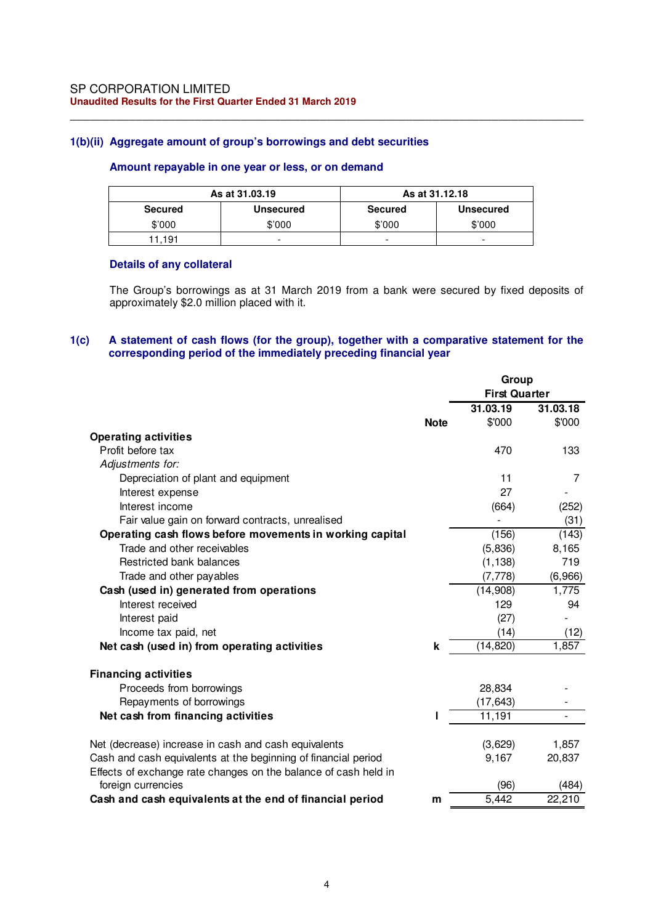## **1(b)(ii) Aggregate amount of group's borrowings and debt securities**

### **Amount repayable in one year or less, or on demand**

|                | As at 31,03,19<br>As at 31.12.18 |         |                          |
|----------------|----------------------------------|---------|--------------------------|
| <b>Secured</b> | <b>Unsecured</b>                 | Secured | <b>Unsecured</b>         |
| \$'000         | \$'000                           | \$'000  | \$'000                   |
| $11.19+$       | -                                | -       | $\overline{\phantom{0}}$ |

\_\_\_\_\_\_\_\_\_\_\_\_\_\_\_\_\_\_\_\_\_\_\_\_\_\_\_\_\_\_\_\_\_\_\_\_\_\_\_\_\_\_\_\_\_\_\_\_\_\_\_\_\_\_\_\_\_\_\_\_\_\_\_\_\_\_\_\_\_\_\_\_\_\_\_\_\_\_

## **Details of any collateral**

The Group's borrowings as at 31 March 2019 from a bank were secured by fixed deposits of approximately \$2.0 million placed with it.

## **1(c) A statement of cash flows (for the group), together with a comparative statement for the corresponding period of the immediately preceding financial year**

|                                                                 |             | Group                |          |
|-----------------------------------------------------------------|-------------|----------------------|----------|
|                                                                 |             | <b>First Quarter</b> |          |
|                                                                 |             | 31.03.19             | 31.03.18 |
|                                                                 | <b>Note</b> | \$'000               | \$'000   |
| <b>Operating activities</b>                                     |             |                      |          |
| Profit before tax                                               |             | 470                  | 133      |
| Adjustments for:                                                |             |                      |          |
| Depreciation of plant and equipment                             |             | 11                   | 7        |
| Interest expense                                                |             | 27                   |          |
| Interest income                                                 |             | (664)                | (252)    |
| Fair value gain on forward contracts, unrealised                |             |                      | (31)     |
| Operating cash flows before movements in working capital        |             | (156)                | (143)    |
| Trade and other receivables                                     |             | (5,836)              | 8,165    |
| Restricted bank balances                                        |             | (1, 138)             | 719      |
| Trade and other payables                                        |             | (7, 778)             | (6,966)  |
| Cash (used in) generated from operations                        |             | (14,908)             | 1,775    |
| Interest received                                               |             | 129                  | 94       |
| Interest paid                                                   |             | (27)                 |          |
| Income tax paid, net                                            |             | (14)                 | (12)     |
| Net cash (used in) from operating activities                    | k           | (14, 820)            | 1,857    |
| <b>Financing activities</b>                                     |             |                      |          |
| Proceeds from borrowings                                        |             | 28,834               |          |
| Repayments of borrowings                                        |             | (17, 643)            |          |
| Net cash from financing activities                              |             | 11,191               |          |
| Net (decrease) increase in cash and cash equivalents            |             | (3,629)              | 1,857    |
| Cash and cash equivalents at the beginning of financial period  |             | 9,167                | 20,837   |
| Effects of exchange rate changes on the balance of cash held in |             |                      |          |
| foreign currencies                                              |             | (96)                 | (484)    |
| Cash and cash equivalents at the end of financial period        | m           | 5,442                | 22,210   |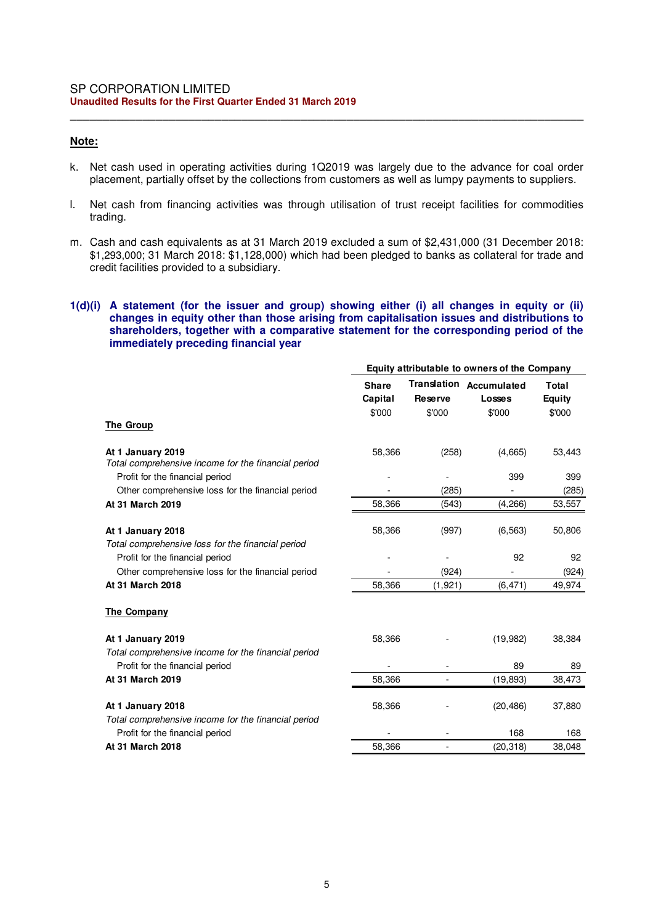## **Note:**

k. Net cash used in operating activities during 1Q2019 was largely due to the advance for coal order placement, partially offset by the collections from customers as well as lumpy payments to suppliers.

\_\_\_\_\_\_\_\_\_\_\_\_\_\_\_\_\_\_\_\_\_\_\_\_\_\_\_\_\_\_\_\_\_\_\_\_\_\_\_\_\_\_\_\_\_\_\_\_\_\_\_\_\_\_\_\_\_\_\_\_\_\_\_\_\_\_\_\_\_\_\_\_\_\_\_\_\_\_

- l. Net cash from financing activities was through utilisation of trust receipt facilities for commodities trading.
- m. Cash and cash equivalents as at 31 March 2019 excluded a sum of \$2,431,000 (31 December 2018: \$1,293,000; 31 March 2018: \$1,128,000) which had been pledged to banks as collateral for trade and credit facilities provided to a subsidiary.

### **1(d)(i) A statement (for the issuer and group) showing either (i) all changes in equity or (ii) changes in equity other than those arising from capitalisation issues and distributions to shareholders, together with a comparative statement for the corresponding period of the immediately preceding financial year**

|                                                                                        | Equity attributable to owners of the Company |          |                                          |                        |  |
|----------------------------------------------------------------------------------------|----------------------------------------------|----------|------------------------------------------|------------------------|--|
|                                                                                        | <b>Share</b><br>Capital                      | Reserve  | <b>Translation Accumulated</b><br>Losses | Total<br><b>Equity</b> |  |
|                                                                                        | \$'000                                       | \$'000   | \$'000                                   | \$'000                 |  |
| <b>The Group</b>                                                                       |                                              |          |                                          |                        |  |
| At 1 January 2019<br>Total comprehensive income for the financial period               | 58,366                                       | (258)    | (4,665)                                  | 53,443                 |  |
| Profit for the financial period                                                        |                                              |          | 399                                      | 399                    |  |
| Other comprehensive loss for the financial period                                      |                                              | (285)    |                                          | (285)                  |  |
| At 31 March 2019                                                                       | 58,366                                       | (543)    | (4,266)                                  | 53,557                 |  |
| At 1 January 2018                                                                      | 58,366                                       | (997)    | (6, 563)                                 | 50,806                 |  |
| Total comprehensive loss for the financial period                                      |                                              |          |                                          |                        |  |
| Profit for the financial period                                                        |                                              |          | 92                                       | 92                     |  |
| Other comprehensive loss for the financial period                                      |                                              | (924)    |                                          | (924)                  |  |
| At 31 March 2018                                                                       | 58,366                                       | (1, 921) | (6, 471)                                 | 49,974                 |  |
| The Company                                                                            |                                              |          |                                          |                        |  |
| At 1 January 2019                                                                      | 58,366                                       |          | (19,982)                                 | 38,384                 |  |
| Total comprehensive income for the financial period<br>Profit for the financial period |                                              |          | 89                                       | 89                     |  |
| At 31 March 2019                                                                       | 58,366                                       |          | (19,893)                                 | 38,473                 |  |
| At 1 January 2018                                                                      | 58,366                                       |          | (20, 486)                                | 37,880                 |  |
| Total comprehensive income for the financial period                                    |                                              |          | 168                                      | 168                    |  |
| Profit for the financial period<br>At 31 March 2018                                    | 58,366                                       |          | (20, 318)                                | 38,048                 |  |
|                                                                                        |                                              |          |                                          |                        |  |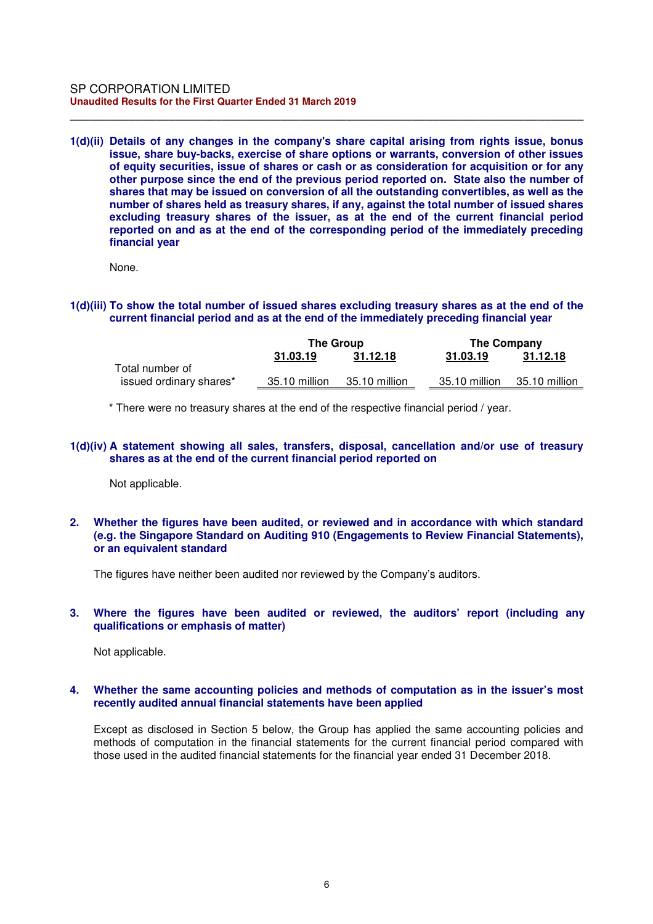**1(d)(ii) Details of any changes in the company's share capital arising from rights issue, bonus issue, share buy-backs, exercise of share options or warrants, conversion of other issues of equity securities, issue of shares or cash or as consideration for acquisition or for any other purpose since the end of the previous period reported on. State also the number of shares that may be issued on conversion of all the outstanding convertibles, as well as the number of shares held as treasury shares, if any, against the total number of issued shares excluding treasury shares of the issuer, as at the end of the current financial period reported on and as at the end of the corresponding period of the immediately preceding financial year** 

\_\_\_\_\_\_\_\_\_\_\_\_\_\_\_\_\_\_\_\_\_\_\_\_\_\_\_\_\_\_\_\_\_\_\_\_\_\_\_\_\_\_\_\_\_\_\_\_\_\_\_\_\_\_\_\_\_\_\_\_\_\_\_\_\_\_\_\_\_\_\_\_\_\_\_\_\_\_

None.

**1(d)(iii) To show the total number of issued shares excluding treasury shares as at the end of the current financial period and as at the end of the immediately preceding financial year** 

|                         | The Group     |               | The Company   |               |
|-------------------------|---------------|---------------|---------------|---------------|
|                         | 31.03.19      | 31.12.18      | 31.03.19      | 31.12.18      |
| Total number of         |               |               |               |               |
| issued ordinary shares* | 35.10 million | 35.10 million | 35.10 million | 35.10 million |

\* There were no treasury shares at the end of the respective financial period / year.

### **1(d)(iv) A statement showing all sales, transfers, disposal, cancellation and/or use of treasury shares as at the end of the current financial period reported on**

Not applicable.

**2. Whether the figures have been audited, or reviewed and in accordance with which standard (e.g. the Singapore Standard on Auditing 910 (Engagements to Review Financial Statements), or an equivalent standard** 

The figures have neither been audited nor reviewed by the Company's auditors.

## **3. Where the figures have been audited or reviewed, the auditors' report (including any qualifications or emphasis of matter)**

Not applicable.

### **4. Whether the same accounting policies and methods of computation as in the issuer's most recently audited annual financial statements have been applied**

Except as disclosed in Section 5 below, the Group has applied the same accounting policies and methods of computation in the financial statements for the current financial period compared with those used in the audited financial statements for the financial year ended 31 December 2018.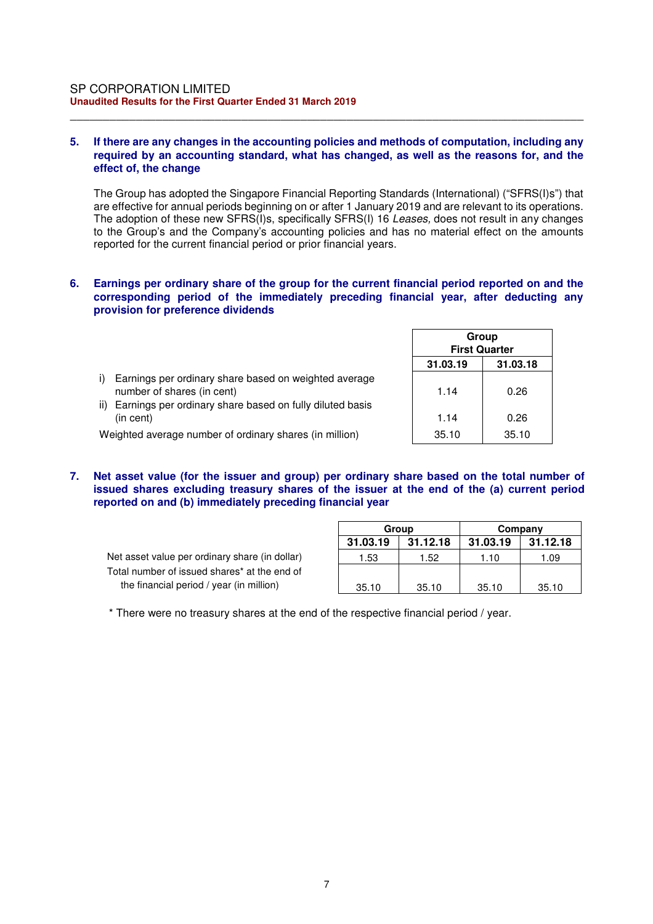### **5. If there are any changes in the accounting policies and methods of computation, including any required by an accounting standard, what has changed, as well as the reasons for, and the effect of, the change**

\_\_\_\_\_\_\_\_\_\_\_\_\_\_\_\_\_\_\_\_\_\_\_\_\_\_\_\_\_\_\_\_\_\_\_\_\_\_\_\_\_\_\_\_\_\_\_\_\_\_\_\_\_\_\_\_\_\_\_\_\_\_\_\_\_\_\_\_\_\_\_\_\_\_\_\_\_\_

The Group has adopted the Singapore Financial Reporting Standards (International) ("SFRS(I)s") that are effective for annual periods beginning on or after 1 January 2019 and are relevant to its operations. The adoption of these new SFRS(I)s, specifically SFRS(I) 16 *Leases,* does not result in any changes to the Group's and the Company's accounting policies and has no material effect on the amounts reported for the current financial period or prior financial years.

### **6. Earnings per ordinary share of the group for the current financial period reported on and the corresponding period of the immediately preceding financial year, after deducting any provision for preference dividends**

|                                                                                           |          | Group<br><b>First Quarter</b> |  |  |
|-------------------------------------------------------------------------------------------|----------|-------------------------------|--|--|
|                                                                                           | 31.03.19 | 31.03.18                      |  |  |
| Earnings per ordinary share based on weighted average<br>i)<br>number of shares (in cent) | 1.14     | 0.26                          |  |  |
| ii)<br>Earnings per ordinary share based on fully diluted basis<br>(in cent)              | 1.14     | 0.26                          |  |  |
| Weighted average number of ordinary shares (in million)                                   | 35.10    | 35.10                         |  |  |

**7. Net asset value (for the issuer and group) per ordinary share based on the total number of issued shares excluding treasury shares of the issuer at the end of the (a) current period reported on and (b) immediately preceding financial year** 

Net asset value per ordinary share (in dollar) Total number of issued shares\* at the end of the financial period / year (in million)

| Group    |          | Company  |          |
|----------|----------|----------|----------|
| 31.03.19 | 31.12.18 | 31.03.19 | 31.12.18 |
| 1.53     | 1.52     | 1.10     | 1.09     |
|          |          |          |          |
| 35.10    | 35.10    | 35.10    | 35.10    |

 $\overline{\phantom{0}}$ 

\* There were no treasury shares at the end of the respective financial period / year.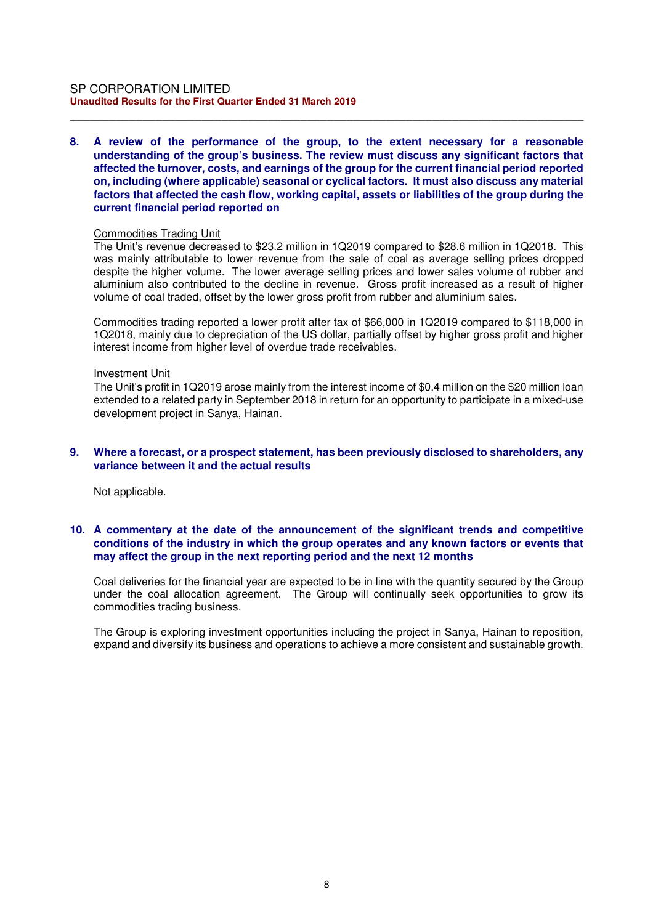#### SP CORPORATION LIMITED **Unaudited Results for the First Quarter Ended 31 March 2019**

### **8. A review of the performance of the group, to the extent necessary for a reasonable understanding of the group's business. The review must discuss any significant factors that affected the turnover, costs, and earnings of the group for the current financial period reported on, including (where applicable) seasonal or cyclical factors. It must also discuss any material factors that affected the cash flow, working capital, assets or liabilities of the group during the current financial period reported on**

\_\_\_\_\_\_\_\_\_\_\_\_\_\_\_\_\_\_\_\_\_\_\_\_\_\_\_\_\_\_\_\_\_\_\_\_\_\_\_\_\_\_\_\_\_\_\_\_\_\_\_\_\_\_\_\_\_\_\_\_\_\_\_\_\_\_\_\_\_\_\_\_\_\_\_\_\_\_

#### Commodities Trading Unit

The Unit's revenue decreased to \$23.2 million in 1Q2019 compared to \$28.6 million in 1Q2018. This was mainly attributable to lower revenue from the sale of coal as average selling prices dropped despite the higher volume. The lower average selling prices and lower sales volume of rubber and aluminium also contributed to the decline in revenue. Gross profit increased as a result of higher volume of coal traded, offset by the lower gross profit from rubber and aluminium sales.

Commodities trading reported a lower profit after tax of \$66,000 in 1Q2019 compared to \$118,000 in 1Q2018, mainly due to depreciation of the US dollar, partially offset by higher gross profit and higher interest income from higher level of overdue trade receivables.

#### Investment Unit

The Unit's profit in 1Q2019 arose mainly from the interest income of \$0.4 million on the \$20 million loan extended to a related party in September 2018 in return for an opportunity to participate in a mixed-use development project in Sanya, Hainan.

### **9. Where a forecast, or a prospect statement, has been previously disclosed to shareholders, any variance between it and the actual results**

Not applicable.

### **10. A commentary at the date of the announcement of the significant trends and competitive conditions of the industry in which the group operates and any known factors or events that may affect the group in the next reporting period and the next 12 months**

Coal deliveries for the financial year are expected to be in line with the quantity secured by the Group under the coal allocation agreement. The Group will continually seek opportunities to grow its commodities trading business.

The Group is exploring investment opportunities including the project in Sanya, Hainan to reposition, expand and diversify its business and operations to achieve a more consistent and sustainable growth.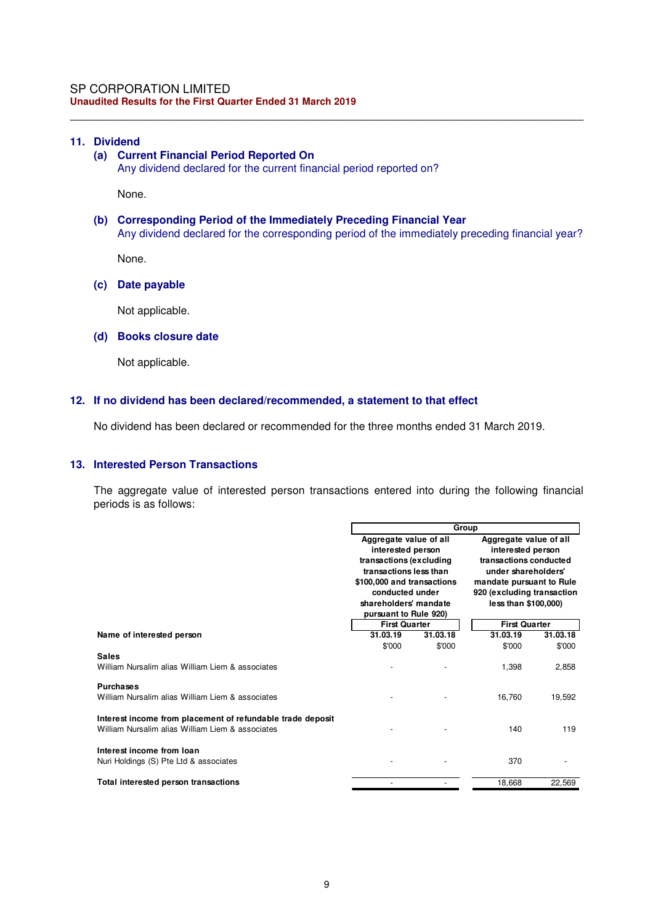### **11. Dividend**

## **(a) Current Financial Period Reported On**

Any dividend declared for the current financial period reported on?

None.

### **(b) Corresponding Period of the Immediately Preceding Financial Year**  Any dividend declared for the corresponding period of the immediately preceding financial year?

\_\_\_\_\_\_\_\_\_\_\_\_\_\_\_\_\_\_\_\_\_\_\_\_\_\_\_\_\_\_\_\_\_\_\_\_\_\_\_\_\_\_\_\_\_\_\_\_\_\_\_\_\_\_\_\_\_\_\_\_\_\_\_\_\_\_\_\_\_\_\_\_\_\_\_\_\_\_

None.

### **(c) Date payable**

Not applicable.

#### **(d) Books closure date**

Not applicable.

### **12. If no dividend has been declared/recommended, a statement to that effect**

No dividend has been declared or recommended for the three months ended 31 March 2019.

## **13. Interested Person Transactions**

The aggregate value of interested person transactions entered into during the following financial periods is as follows:

|                                                                                                                | Group                                         |          |                                             |          |
|----------------------------------------------------------------------------------------------------------------|-----------------------------------------------|----------|---------------------------------------------|----------|
|                                                                                                                | Aggregate value of all                        |          | Aggregate value of all                      |          |
|                                                                                                                | interested person<br>transactions (excluding  |          | interested person<br>transactions conducted |          |
|                                                                                                                | transactions less than                        |          | under shareholders'                         |          |
|                                                                                                                | \$100,000 and transactions                    |          | mandate pursuant to Rule                    |          |
|                                                                                                                | conducted under                               |          | 920 (excluding transaction                  |          |
|                                                                                                                | shareholders' mandate                         |          | less than \$100,000)                        |          |
|                                                                                                                | pursuant to Rule 920)<br><b>First Quarter</b> |          | <b>First Quarter</b>                        |          |
| Name of interested person                                                                                      | 31.03.19                                      | 31.03.18 | 31.03.19                                    | 31.03.18 |
|                                                                                                                | \$'000                                        | \$'000   | \$'000                                      | \$'000   |
| <b>Sales</b><br>William Nursalim alias William Liem & associates                                               |                                               |          | 1,398                                       | 2,858    |
| <b>Purchases</b><br>William Nursalim alias William Liem & associates                                           |                                               |          | 16,760                                      | 19,592   |
| Interest income from placement of refundable trade deposit<br>William Nursalim alias William Liem & associates |                                               |          | 140                                         | 119      |
| Interest income from loan<br>Nuri Holdings (S) Pte Ltd & associates                                            |                                               |          | 370                                         |          |
| Total interested person transactions                                                                           |                                               |          | 18,668                                      | 22,569   |